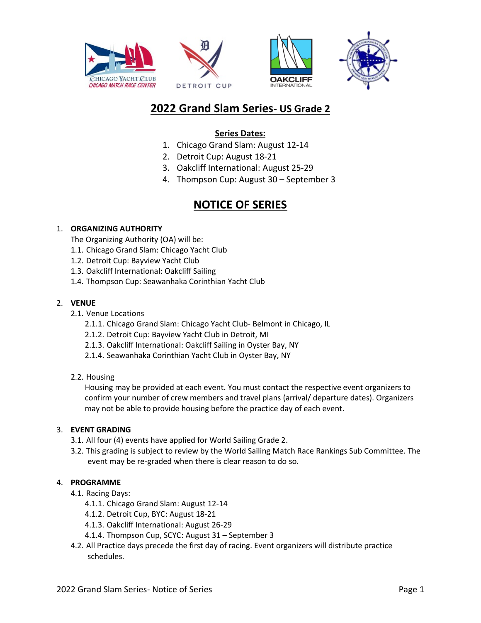







# **2022 Grand Slam Series- US Grade 2**

## **Series Dates:**

- 1. Chicago Grand Slam: August 12-14
- 2. Detroit Cup: August 18-21
- 3. Oakcliff International: August 25-29
- 4. Thompson Cup: August 30 September 3

## **NOTICE OF SERIES**

## 1. **ORGANIZING AUTHORITY**

The Organizing Authority (OA) will be:

- 1.1. Chicago Grand Slam: Chicago Yacht Club
- 1.2. Detroit Cup: Bayview Yacht Club
- 1.3. Oakcliff International: Oakcliff Sailing
- 1.4. Thompson Cup: Seawanhaka Corinthian Yacht Club

### 2. **VENUE**

- 2.1. Venue Locations
	- 2.1.1. Chicago Grand Slam: Chicago Yacht Club- Belmont in Chicago, IL
	- 2.1.2. Detroit Cup: Bayview Yacht Club in Detroit, MI
	- 2.1.3. Oakcliff International: Oakcliff Sailing in Oyster Bay, NY
	- 2.1.4. Seawanhaka Corinthian Yacht Club in Oyster Bay, NY

#### 2.2. Housing

Housing may be provided at each event. You must contact the respective event organizers to confirm your number of crew members and travel plans (arrival/ departure dates). Organizers may not be able to provide housing before the practice day of each event.

#### 3. **EVENT GRADING**

- 3.1. All four (4) events have applied for World Sailing Grade 2.
- 3.2. This grading is subject to review by the World Sailing Match Race Rankings Sub Committee. The event may be re-graded when there is clear reason to do so.

## 4. **PROGRAMME**

- 4.1. Racing Days:
	- 4.1.1. Chicago Grand Slam: August 12-14
	- 4.1.2. Detroit Cup, BYC: August 18-21
	- 4.1.3. Oakcliff International: August 26-29
	- 4.1.4. Thompson Cup, SCYC: August 31 September 3
- 4.2. All Practice days precede the first day of racing. Event organizers will distribute practice schedules.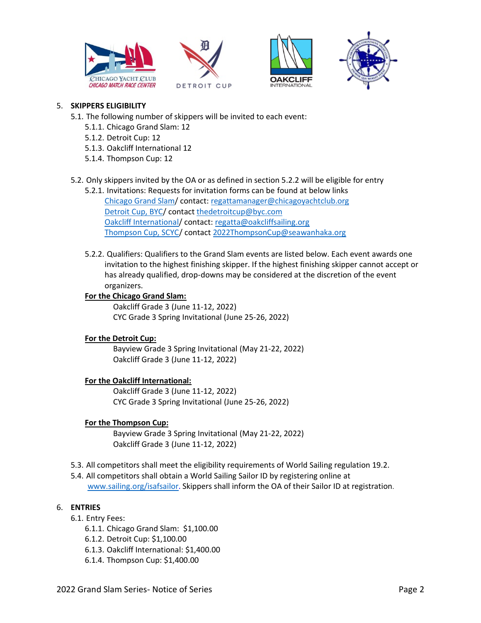







## 5. **SKIPPERS ELIGIBILITY**

- 5.1. The following number of skippers will be invited to each event:
	- 5.1.1. Chicago Grand Slam: 12
	- 5.1.2. Detroit Cup: 12
	- 5.1.3. Oakcliff International 12
	- 5.1.4. Thompson Cup: 12
- 5.2. Only skippers invited by the OA or as defined in section 5.2.2 will be eligible for entry
	- 5.2.1. Invitations: Requests for invitation forms can be found at below links [Chicago Grand Slam/](https://www.chicagoyachtclub.org/Default.aspx?p=dynamicmodule&pageid=396617&ssid=319302&vnf=1) contact[: regattamanager@chicagoyachtclub.org](mailto:regattamanager@chicagoyachtclub.org) [Detroit Cup, BYC/](http://www.detroitcup.com/detroitcup/?CFID=2735137&CFTOKEN=6862f86c01a300b9-65E623FF-C604-432C-B2660358BCF1CB0F) contact [thedetroitcup@byc.com](mailto:thedetroitcup@byc.com) [Oakcliff International/](https://www.oakcliffsailing.org/regattas/) contact[: regatta@oakcliffsailing.org](mailto:regatta@oakcliffsailing.org) [Thompson Cup, SCYC/](https://www.seawanhaka.org/Upcoming_Regattas) contac[t 2022ThompsonCup@seawanhaka.org](mailto:2022ThompsonCup@seawanhaka.org)
	- 5.2.2. Qualifiers: Qualifiers to the Grand Slam events are listed below. Each event awards one invitation to the highest finishing skipper. If the highest finishing skipper cannot accept or has already qualified, drop-downs may be considered at the discretion of the event organizers.

#### **For the Chicago Grand Slam:**

Oakcliff Grade 3 (June 11-12, 2022) CYC Grade 3 Spring Invitational (June 25-26, 2022)

#### **For the Detroit Cup:**

Bayview Grade 3 Spring Invitational (May 21-22, 2022) Oakcliff Grade 3 (June 11-12, 2022)

## **For the Oakcliff International:**

Oakcliff Grade 3 (June 11-12, 2022) CYC Grade 3 Spring Invitational (June 25-26, 2022)

#### **For the Thompson Cup:**

Bayview Grade 3 Spring Invitational (May 21-22, 2022) Oakcliff Grade 3 (June 11-12, 2022)

- 5.3. All competitors shall meet the eligibility requirements of World Sailing regulation 19.2.
- 5.4. All competitors shall obtain a World Sailing Sailor ID by registering online at [www.sailing.org/isafsailor.](http://www.sailing.org/isafsailor) Skippers shall inform the OA of their Sailor ID at registration.

### 6. **ENTRIES**

- 6.1. Entry Fees:
	- 6.1.1. Chicago Grand Slam: \$1,100.00
	- 6.1.2. Detroit Cup: \$1,100.00
	- 6.1.3. Oakcliff International: \$1,400.00
	- 6.1.4. Thompson Cup: \$1,400.00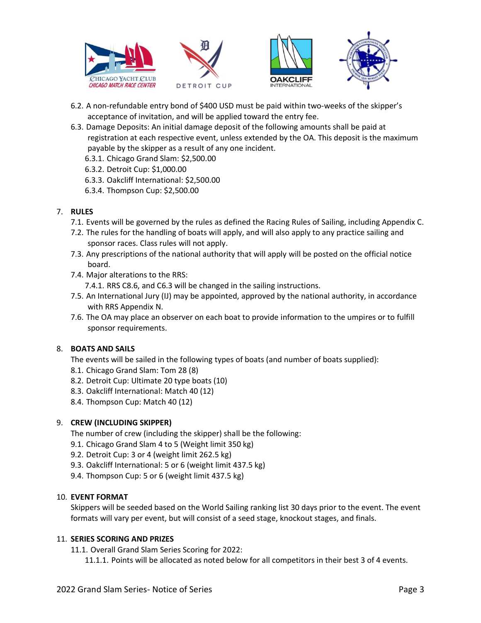







- 6.2. A non-refundable entry bond of \$400 USD must be paid within two-weeks of the skipper's acceptance of invitation, and will be applied toward the entry fee.
- 6.3. Damage Deposits: An initial damage deposit of the following amounts shall be paid at registration at each respective event, unless extended by the OA. This deposit is the maximum payable by the skipper as a result of any one incident.
	- 6.3.1. Chicago Grand Slam: \$2,500.00
	- 6.3.2. Detroit Cup: \$1,000.00
	- 6.3.3. Oakcliff International: \$2,500.00
	- 6.3.4. Thompson Cup: \$2,500.00

## 7. **RULES**

- 7.1. Events will be governed by the rules as defined the Racing Rules of Sailing, including Appendix C.
- 7.2. The rules for the handling of boats will apply, and will also apply to any practice sailing and sponsor races. Class rules will not apply.
- 7.3. Any prescriptions of the national authority that will apply will be posted on the official notice board.
- 7.4. Major alterations to the RRS:

7.4.1. RRS C8.6, and C6.3 will be changed in the sailing instructions.

- 7.5. An International Jury (IJ) may be appointed, approved by the national authority, in accordance with RRS Appendix N.
- 7.6. The OA may place an observer on each boat to provide information to the umpires or to fulfill sponsor requirements.

## 8. **BOATS AND SAILS**

The events will be sailed in the following types of boats (and number of boats supplied):

- 8.1. Chicago Grand Slam: Tom 28 (8)
- 8.2. Detroit Cup: Ultimate 20 type boats (10)
- 8.3. Oakcliff International: Match 40 (12)
- 8.4. Thompson Cup: Match 40 (12)

## 9. **CREW (INCLUDING SKIPPER)**

The number of crew (including the skipper) shall be the following:

- 9.1. Chicago Grand Slam 4 to 5 (Weight limit 350 kg)
- 9.2. Detroit Cup: 3 or 4 (weight limit 262.5 kg)
- 9.3. Oakcliff International: 5 or 6 (weight limit 437.5 kg)
- 9.4. Thompson Cup: 5 or 6 (weight limit 437.5 kg)

#### 10. **EVENT FORMAT**

Skippers will be seeded based on the World Sailing ranking list 30 days prior to the event. The event formats will vary per event, but will consist of a seed stage, knockout stages, and finals.

#### 11. **SERIES SCORING AND PRIZES**

11.1. Overall Grand Slam Series Scoring for 2022:

11.1.1. Points will be allocated as noted below for all competitors in their best 3 of 4 events.